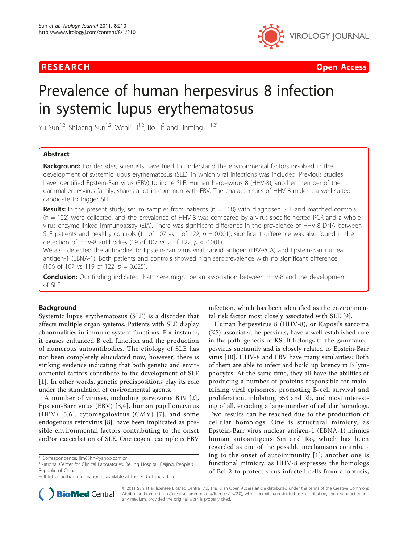

**RESEARCH Open Access Contract Contract Contract Contract Contract Contract Contract Contract Contract Contract Contract Contract Contract Contract Contract Contract Contract Contract Contract Contract Contract Contract** 

# Prevalence of human herpesvirus 8 infection in systemic lupus erythematosus

Yu Sun<sup>1,2</sup>, Shipeng Sun<sup>1,2</sup>, Wenli Li<sup>1,2</sup>, Bo Li<sup>3</sup> and Jinming Li<sup>1,2\*</sup>

# Abstract

Background: For decades, scientists have tried to understand the environmental factors involved in the development of systemic lupus erythematosus (SLE), in which viral infections was included. Previous studies have identified Epstein-Barr virus (EBV) to incite SLE. Human herpesvirus 8 (HHV-8), another member of the gammaherpesvirus family, shares a lot in common with EBV. The characteristics of HHV-8 make it a well-suited candidate to trigger SLE.

**Results:** In the present study, serum samples from patients ( $n = 108$ ) with diagnosed SLE and matched controls (n = 122) were collected, and the prevalence of HHV-8 was compared by a virus-specific nested PCR and a whole virus enzyme-linked immunoassay (EIA). There was significant difference in the prevalence of HHV-8 DNA between SLE patients and healthy controls (11 of 107 vs 1 of 122,  $p = 0.001$ ); significant difference was also found in the detection of HHV-8 antibodies (19 of 107 vs 2 of 122,  $p < 0.001$ ).

We also detected the antibodies to Epstein-Barr virus viral capsid antigen (EBV-VCA) and Epstein-Barr nuclear antigen-1 (EBNA-1). Both patients and controls showed high seroprevalence with no significant difference (106 of 107 vs 119 of 122,  $p = 0.625$ ).

**Conclusion:** Our finding indicated that there might be an association between HHV-8 and the development of SLE.

# Background

Systemic lupus erythematosus (SLE) is a disorder that affects multiple organ systems. Patients with SLE display abnormalities in immune system functions. For instance, it causes enhanced B cell function and the production of numerous autoantibodies. The etiology of SLE has not been completely elucidated now, however, there is striking evidence indicating that both genetic and environmental factors contribute to the development of SLE [[1\]](#page-3-0). In other words, genetic predispositions play its role under the stimulation of environmental agents.

A number of viruses, including parvovirus B19 [[2\]](#page-3-0), Epstein-Barr virus (EBV) [[3,4\]](#page-3-0), human papillomavirus (HPV) [[5](#page-3-0),[6](#page-3-0)], cytomegalovirus (CMV) [[7](#page-4-0)], and some endogenous retrovirus [\[8\]](#page-4-0), have been implicated as possible environmental factors contributing to the onset and/or exacerbation of SLE. One cogent example is EBV infection, which has been identified as the environmental risk factor most closely associated with SLE [\[9](#page-4-0)].

Human herpesvirus 8 (HHV-8), or Kaposi's sarcoma (KS)-associated herpesvirus, have a well-established role in the pathogenesis of KS. It belongs to the gammaherpesvirus subfamily and is closely related to Epstein-Barr virus [[10\]](#page-4-0). HHV-8 and EBV have many similarities: Both of them are able to infect and build up latency in B lymphocytes. At the same time, they all have the abilities of producing a number of proteins responsible for maintaining viral episomes, promoting B-cell survival and proliferation, inhibiting p53 and Rb, and most interesting of all, encoding a large number of cellular homologs. Two results can be reached due to the production of cellular homologs. One is structural mimicry, as Epstein-Barr virus nuclear antigen-1 (EBNA-1) mimics human autoantigens Sm and Ro, which has been regarded as one of the possible mechanisms contributing to the onset of autoimmunity [[1](#page-3-0)]; another one is functional mimicry, as HHV-8 expresses the homologs of Bcl-2 to protect virus-infected cells from apoptosis,



© 2011 Sun et al; licensee BioMed Central Ltd. This is an Open Access article distributed under the terms of the Creative Commons Attribution License [\(http://creativecommons.org/licenses/by/2.0](http://creativecommons.org/licenses/by/2.0)), which permits unrestricted use, distribution, and reproduction in any medium, provided the original work is properly cited.

<sup>\*</sup> Correspondence: [ljm63hn@yahoo.com.cn](mailto:ljm63hn@yahoo.com.cn)

<sup>&</sup>lt;sup>1</sup>National Center for Clinical Laboratories, Beijing Hospital, Beijing, People's Republic of China

Full list of author information is available at the end of the article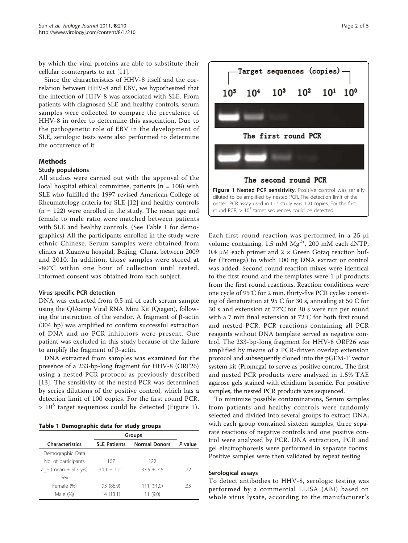by which the viral proteins are able to substitute their cellular counterparts to act [\[11\]](#page-4-0).

Since the characteristics of HHV-8 itself and the correlation between HHV-8 and EBV, we hypothesized that the infection of HHV-8 was associated with SLE. From patients with diagnosed SLE and healthy controls, serum samples were collected to compare the prevalence of HHV-8 in order to determine this association. Due to the pathogenetic role of EBV in the development of SLE, serologic tests were also performed to determine the occurrence of it.

# Methods

### Study populations

All studies were carried out with the approval of the local hospital ethical committee, patients ( $n = 108$ ) with SLE who fulfilled the 1997 revised American College of Rheumatology criteria for SLE [\[12](#page-4-0)] and healthy controls  $(n = 122)$  were enrolled in the study. The mean age and female to male ratio were matched between patients with SLE and healthy controls. (See Table 1 for demographics) All the participants enrolled in the study were ethnic Chinese. Serum samples were obtained from clinics at Xuanwu hospital, Beijing, China, between 2009 and 2010. In addition, those samples were stored at -80°C within one hour of collection until tested. Informed consent was obtained from each subject.

#### Virus-specific PCR detection

DNA was extracted from 0.5 ml of each serum sample using the QIAamp Viral RNA Mini Kit (Qiagen), following the instruction of the vendor. A fragment of  $\beta$ -actin (304 bp) was amplified to confirm successful extraction of DNA and no PCR inhibitors were present. One patient was excluded in this study because of the failure to amplify the fragment of  $\beta$ -actin.

DNA extracted from samples was examined for the presence of a 233-bp-long fragment for HHV-8 (ORF26) using a nested PCR protocol as previously described [[13\]](#page-4-0). The sensitivity of the nested PCR was determined by series dilutions of the positive control, which has a detection limit of 100 copies. For the first round PCR,  $> 10<sup>3</sup>$  target sequences could be detected (Figure 1).

Table 1 Demographic data for study groups

|                          | Groups              |                      |         |
|--------------------------|---------------------|----------------------|---------|
| <b>Characteristics</b>   | <b>SLE Patients</b> | <b>Normal Donors</b> | P value |
| Demographic Data         |                     |                      |         |
| No. of participants      | 107                 | 122                  |         |
| age (mean $\pm$ SD, yrs) | $34.1 + 12.1$       | $33.5 + 7.6$         | .72     |
| Sex                      |                     |                      |         |
| Female (%)               | 93 (86.9)           | 111 (91.0)           | .33     |
| Male (%)                 | 14 (13.1)           | 11(9.0)              |         |



Each first-round reaction was performed in a 25 μl volume containing, 1.5 mM  $Mg^{2+}$ , 200 mM each dNTP, 0.4 μM each primer and  $2 \times$  Green Gotaq reaction buffer (Promega) to which 100 ng DNA extract or control was added. Second round reaction mixes were identical to the first round and the templates were 1 μl products from the first round reactions. Reaction conditions were one cycle of 95°C for 2 min, thirty-five PCR cycles consisting of denaturation at 95°C for 30 s, annealing at 50°C for 30 s and extension at 72°C for 30 s were run per round with a 7 min final extension at 72°C for both first round and nested PCR. PCR reactions containing all PCR reagents without DNA template served as negative control. The 233-bp-long fragment for HHV-8 ORF26 was amplified by means of a PCR-driven overlap extension protocol and subsequently cloned into the pGEM-T vector system kit (Promega) to serve as positive control. The first and nested PCR products were analyzed in 1.5% TAE agarose gels stained with ethidium bromide. For positive samples, the nested PCR products was sequenced.

To minimize possible contaminations, Serum samples from patients and healthy controls were randomly selected and divided into several groups to extract DNA; with each group contained sixteen samples, three separate reactions of negative controls and one positive control were analyzed by PCR. DNA extraction, PCR and gel electrophoresis were performed in separate rooms. Positive samples were then validated by repeat testing.

#### Serological assays

To detect antibodies to HHV-8, serologic testing was performed by a commercial ELISA (ABI) based on whole virus lysate, according to the manufacturer's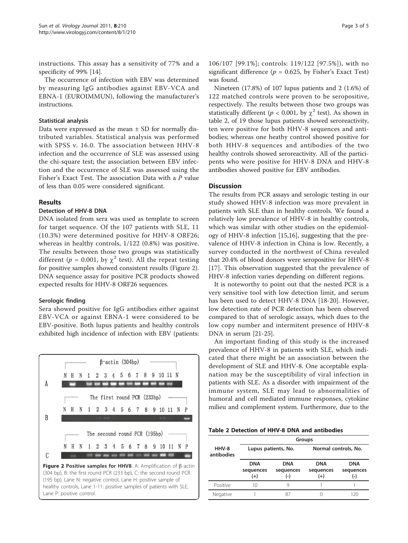instructions. This assay has a sensitivity of 77% and a specificity of 99% [\[14\]](#page-4-0).

The occurrence of infection with EBV was determined by measuring IgG antibodies against EBV-VCA and EBNA-1 (EUROIMMUN), following the manufacturer's instructions.

### Statistical analysis

Data were expressed as the mean  $\pm$  SD for normally distributed variables. Statistical analysis was performed with SPSS v. 16.0. The association between HHV-8 infection and the occurrence of SLE was assessed using the chi-square test; the association between EBV infection and the occurrence of SLE was assessed using the Fisher's Exact Test. The association Data with a P value of less than 0.05 were considered significant.

# Results

# Detection of HHV-8 DNA

DNA isolated from sera was used as template to screen for target sequence. Of the 107 patients with SLE, 11 (10.3%) were determined positive for HHV-8 ORF26; whereas in healthy controls, 1/122 (0.8%) was positive. The results between those two groups was statistically different ( $p = 0.001$ , by  $\chi^2$  test). All the repeat testing for positive samples showed consistent results (Figure 2). DNA sequence assay for positive PCR products showed expected results for HHV-8 ORF26 sequences.

# Serologic finding

Sera showed positive for IgG antibodies either against EBV-VCA or against EBNA-1 were considered to be EBV-positive. Both lupus patients and healthy controls exhibited high incidence of infection with EBV (patients:



106/107 [99.1%]; controls: 119/122 [97.5%]), with no significant difference ( $p = 0.625$ , by Fisher's Exact Test) was found.

Nineteen (17.8%) of 107 lupus patients and 2 (1.6%) of 122 matched controls were proven to be seropositive, respectively. The results between those two groups was statistically different ( $p < 0.001$ , by  $\chi^2$  test). As shown in table 2, of 19 those lupus patients showed seroreactivity, ten were positive for both HHV-8 sequences and antibodies; whereas one heathy control showed positive for both HHV-8 sequences and antibodies of the two healthy controls showed seroreactivity. All of the participents who were positive for HHV-8 DNA and HHV-8 antibodies showed positive for EBV antibodies.

# **Discussion**

The results from PCR assays and serologic testing in our study showed HHV-8 infection was more prevalent in patients with SLE than in healthy controls. We found a relatively low prevalence of HHV-8 in healthy controls, which was similar with other studies on the epidemiology of HHV-8 infection [[15,16](#page-4-0)], suggesting that the prevalence of HHV-8 infection in China is low. Recently, a survey conducted in the northwest of China revealed that 20.4% of blood donors were seropositive for HHV-8 [[17](#page-4-0)]. This observation suggested that the prevalence of HHV-8 infection varies depending on different regions.

It is noteworthy to point out that the nested PCR is a very sensitive tool with low detection limit, and serum has been used to detect HHV-8 DNA [[18-20](#page-4-0)]. However, low detection rate of PCR detection has been observed compared to that of serologic assays, which dues to the low copy number and intermitent presence of HHV-8 DNA in serum [\[21-25](#page-4-0)].

An important finding of this study is the increased prevalence of HHV-8 in patients with SLE, which indicated that there might be an association between the development of SLE and HHV-8. One acceptable explanation may be the susceptibility of viral infection in patients with SLE. As a disorder with impairment of the immune system, SLE may lead to abnormalities of humoral and cell mediated immune responses, cytokine milieu and complement system. Furthermore, due to the

Table 2 Detection of HHV-8 DNA and antibodies

|                     | Groups                              |                                  |                                  |                                |  |
|---------------------|-------------------------------------|----------------------------------|----------------------------------|--------------------------------|--|
| HHV-8<br>antibodies | Lupus patients, No.                 |                                  | Normal controls, No.             |                                |  |
|                     | <b>DNA</b><br>sequences<br>$^{(+)}$ | <b>DNA</b><br>sequences<br>$(-)$ | <b>DNA</b><br>sequences<br>$(+)$ | <b>DNA</b><br>sequences<br>(-) |  |
| Positive            | 10                                  |                                  |                                  |                                |  |
| Negative            |                                     | 87                               |                                  | 120                            |  |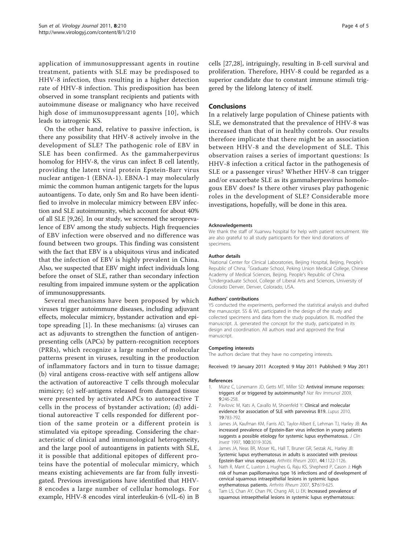<span id="page-3-0"></span>application of immunosuppressant agents in routine treatment, patients with SLE may be predisposed to HHV-8 infection, thus resulting in a higher detection rate of HHV-8 infection. This predisposition has been observed in some transplant recipients and patients with autoimmune disease or malignancy who have received high dose of immunosuppressant agents [[10\]](#page-4-0), which leads to iatrogenic KS.

On the other hand, relative to passive infection, is there any possibility that HHV-8 actively involve in the development of SLE? The pathogenic role of EBV in SLE has been confirmed. As the gammaherpevirus homolog for HHV-8, the virus can infect B cell latently, providing the latent viral protein Epstein-Barr virus nuclear antigen-1 (EBNA-1). EBNA-1 may molecularly mimic the common human antigenic targets for the lupus autoantigens. To date, only Sm and Ro have been identified to involve in molecular mimicry between EBV infection and SLE autoimmunity, which account for about 40% of all SLE [\[9,26](#page-4-0)]. In our study, we screened the seroprevalence of EBV among the study subjects. High frequencies of EBV infection were observed and no difference was found between two groups. This finding was consistent with the fact that EBV is a ubiquitous virus and indicated that the infection of EBV is highly prevalent in China. Also, we suspected that EBV might infect individuals long before the onset of SLE, rather than secondary infection resulting from impaired immune system or the application of immunosuppressants.

Several mechanisms have been proposed by which viruses trigger autoimmune diseases, including adjuvant effects, molecular mimicry, bystander activation and epitope spreading [1]. In these mechanisms: (a) viruses can act as adjuvants to strengthen the function of antigenpresenting cells (APCs) by pattern-recognition receptors (PRRs), which recognize a large number of molecular patterns present in viruses, resulting in the production of inflammatory factors and in turn to tissue damage; (b) viral antigens cross-reactive with self antigens allow the activation of autoreactive T cells through molecular mimicry; (c) self-antigens released from damaged tissue were presented by activated APCs to autoreactive T cells in the process of bystander activation; (d) additional autoreactive T cells responded for different portion of the same protein or a different protein is stimulated via epitope spreading. Considering the characteristic of clinical and immunological heterogeneity, and the large pool of autoantigens in patients with SLE, it is possible that additional epitopes of different proteins have the potential of molecular mimicry, which means existing achievements are far from fully investigated. Previous investigations have identified that HHV-8 encodes a large number of cellular homologs. For example, HHV-8 encodes viral interleukin-6 (vIL-6) in B cells [[27,28\]](#page-4-0), intriguingly, resulting in B-cell survival and proliferation. Therefore, HHV-8 could be regarded as a superior candidate due to constant immune stimuli triggered by the lifelong latency of itself.

### Conclusions

In a relatively large population of Chinese patients with SLE, we demonstrated that the prevalence of HHV-8 was increased than that of in healthy controls. Our results therefore implicate that there might be an association between HHV-8 and the development of SLE. This observation raises a series of important questions: Is HHV-8 infection a critical factor in the pathogenesis of SLE or a passenger virus? Whether HHV-8 can trigger and/or exacerbate SLE as its gammaherpesvirus homologous EBV does? Is there other viruses play pathogenic roles in the development of SLE? Considerable more investigations, hopefully, will be done in this area.

#### Acknowledgements

We thank the staff of Xuanwu hospital for help with patient recruitment. We are also grateful to all study participants for their kind donations of specimens.

#### Author details

<sup>1</sup>National Center for Clinical Laboratories, Beijing Hospital, Beijing, People's Republic of China. <sup>2</sup>Graduate School, Peking Union Medical College, Chinese Academy of Medical Sciences, Beijing, People's Republic of China. <sup>3</sup>Undergraduate School, College of Liberal Arts and Sciences, University of Colorado Denver, Denver, Colorado, USA.

#### Authors' contributions

YS conducted the experiments, performed the statistical analysis and drafted the manuscript. SS & WL participated in the design of the study and collected specimens and data from the study population. BL modified the manuscript. JL generated the concept for the study, participated in its design and coordination. All authors read and approved the final manuscript.

#### Competing interests

The authors declare that they have no competing interests.

Received: 19 January 2011 Accepted: 9 May 2011 Published: 9 May 2011

#### References

- Münz C, Lünemann JD, Getts MT, Miller SD: Antiviral immune responses: triggers of or triggered by autoimmunity? Nat Rev Immunol 2009, 9:246-258.
- 2. Pavlovic M, Kats A, Cavallo M, Shoenfeld Y: Clinical and molecular evidence for association of SLE with parvovirus B19. Lupus 2010, 19:783-792.
- 3. James JA, Kaufman KM, Farris AD, Taylor-Albert E, Lehman TJ, Harley JB: An increased prevalence of Epstein-Barr virus infection in young patients suggests a possible etiology for systemic lupus erythematosus. J Clin Invest 1997, 100:3019-3026.
- 4. James JA, Neas BR, Moser KL, Hall T, Bruner GR, Sestak AL, Harley JB: Systemic lupus erythematosus in adults is associated with previous Epstein-Barr virus exposure. Arthritis Rheum 2001, 44:1122-1126.
- Nath R, Mant C, Luxton J, Hughes G, Raju KS, Shepherd P, Cason J: High risk of human papillomavirus type 16 infections and of development of cervical squamous intraepithelial lesions in systemic lupus erythematosus patients. Arthritis Rheum 2007, 57:619-625.
- 6. Tam LS, Chan AY, Chan PK, Chang AR, Li EK: Increased prevalence of squamous intraepithelial lesions in systemic lupus erythematosus: